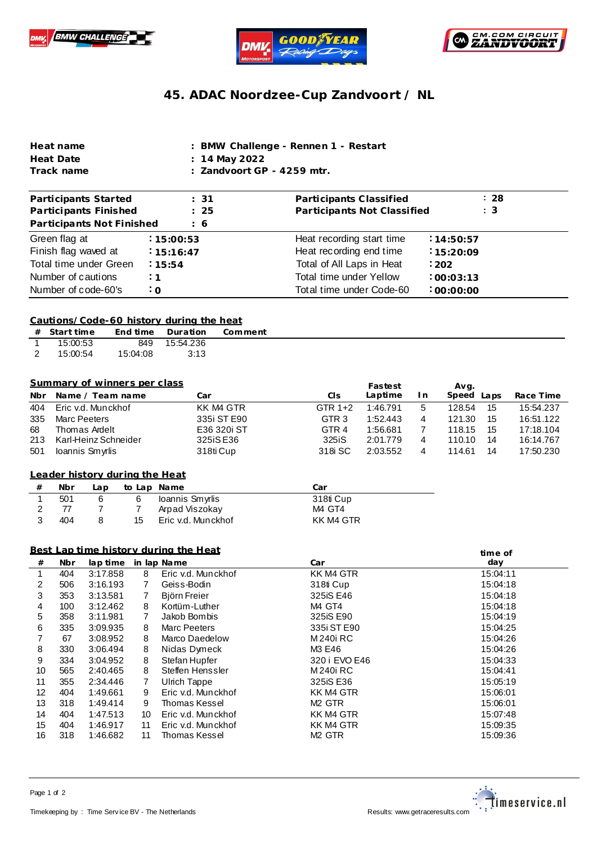





## **45. ADAC Noordzee-Cup Zandvoort / NL**

| Heat name  | : BMW Challenge - Rennen 1 - Restart  |
|------------|---------------------------------------|
| Heat Date  | : 14 May 2022                         |
| Track name | $\therefore$ Zandvoort GP - 4259 mtr. |

| Participants Started      | :31           | Participants Classified     | : 28           |
|---------------------------|---------------|-----------------------------|----------------|
| Participants Finished     | : 25          | Participants Not Classified | $\therefore$ 3 |
| Participants Not Finished | $\frac{1}{6}$ |                             |                |
| Green flag at             | : 15:00:53    | Heat recording start time   | :14:50:57      |
| Finish flag waved at      | 15:16:47      | Heat recording end time     | 15:20:09       |
| Total time under Green    | 15:54         | Total of All Laps in Heat   | $-202$         |
| Number of cautions        | $\ddot{.}1$   | Total time under Yellow     | .00:03:13      |
| Number of code-60's       | $\cdot$ O     | Total time under Code-60    | :00:00:00      |

#### **Cautions/Code-60 history during the heat**

| # Start time |          | End time Duration | Comment |
|--------------|----------|-------------------|---------|
| 1 15:00:53   |          | 849 15:54.236     |         |
| 15:00:54     | 15:04:08 | - 3:13            |         |

#### **Summary of winners per class**

|     | Summary of winners per class |             |                  | Fastest  |     | Avg.          |           |
|-----|------------------------------|-------------|------------------|----------|-----|---------------|-----------|
| Nbr | Name / Team name             | Car         | CIs              | Laptime  | In. | Speed<br>Laps | Race Time |
| 404 | Eric v.d. Munckhof           | KK M4 GTR   | GTR $1+2$        | 1:46.791 | 5   | 128.54<br>15  | 15:54.237 |
| 335 | Marc Peeters                 | 335i ST E90 | GTR <sub>3</sub> | 1:52.443 |     | 121.30<br>15  | 16:51.122 |
| 68  | Thomas Ardelt                | E36 320i ST | GTR 4            | 1:56.681 |     | 118.15<br>-15 | 17:18.104 |
| 213 | Karl-Heinz Schneider         | 325iS E36   | 325iS            | 2:01.779 | 4   | 14<br>110.10  | 16:14.767 |
| 501 | Ioannis Smyrlis              | 318ti Cup   | 318 SC           | 2:03.552 |     | 14<br>114.61  | 17:50.230 |

## **from Leader history dur ing the Heat**

| <b>Nbr</b> | ـa p |    | to Lap Name        | Car       |
|------------|------|----|--------------------|-----------|
| 501        | 6    | 6  | Ioannis Smyrlis    | 318ti Cup |
|            |      |    | Arpad Viszokay     | M4 GT4    |
| 404        |      | 15 | Eric v.d. Munckhof | KK M4 GTR |

## **Best Lap time history during the Heat**

|         | <u>Best Lap time history during the Heat</u><br>time of |          |    |                    |                    |          |
|---------|---------------------------------------------------------|----------|----|--------------------|--------------------|----------|
| $_{\#}$ | Nbr                                                     | lap time |    | in lap Name        | Car                | day      |
|         | 404                                                     | 3:17.858 | 8  | Eric v.d. Munckhof | KK M4 GTR          | 15:04:11 |
| 2       | 506                                                     | 3:16.193 | 7  | Geiss-Bodin        | 318ti Cup          | 15:04:18 |
| 3       | 353                                                     | 3:13.581 |    | Biörn Freier       | 325iS E46          | 15:04:18 |
| 4       | 100                                                     | 3:12.462 | 8  | Kortüm-Luther      | M4 GT4             | 15:04:18 |
| 5       | 358                                                     | 3:11.981 | 7  | Jakob Bombis       | 325iS E90          | 15:04:19 |
| 6       | 335                                                     | 3:09.935 | 8  | Marc Peeters       | 335i ST E90        | 15:04:25 |
|         | 67                                                      | 3:08.952 | 8  | Marco Daedelow     | M 240i RC          | 15:04:26 |
| 8       | 330                                                     | 3:06.494 | 8  | Nidas Dymeck       | M3 E46             | 15:04:26 |
| 9       | 334                                                     | 3:04.952 | 8  | Stefan Hupfer      | 320 i EVO E46      | 15:04:33 |
| 10      | 565                                                     | 2:40.465 | 8  | Steffen Henssler   | M 240i RC          | 15:04:41 |
| 11      | 355                                                     | 2:34.446 |    | Ulrich Tappe       | 325 iS E36         | 15:05:19 |
| 12      | 404                                                     | 1:49.661 | 9  | Eric v.d. Munckhof | KK M4 GTR          | 15:06:01 |
| 13      | 318                                                     | 1:49.414 | 9  | Thomas Kessel      | M <sub>2</sub> GTR | 15:06:01 |
| 14      | 404                                                     | 1:47.513 | 10 | Eric v.d. Munckhof | KK M4 GTR          | 15:07:48 |
| 15      | 404                                                     | 1:46.917 | 11 | Eric v.d. Munckhof | KK M4 GTR          | 15:09:35 |
| 16      | 318                                                     | 1:46.682 | 11 | Thomas Kessel      | M <sub>2</sub> GTR | 15:09:36 |